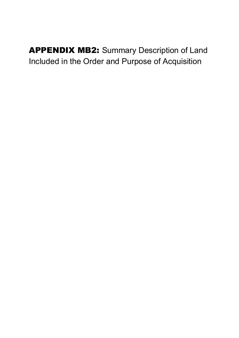APPENDIX MB2: Summary Description of Land Included in the Order and Purpose of Acquisition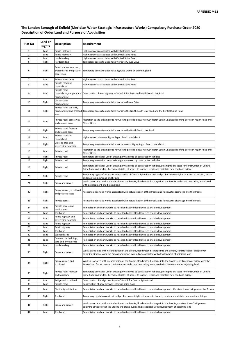## The London Borough of Enfield (Meridian Water Strategic Infrastructure Works) Compulsory Purchase Order 2020 Description of Order Land and Purpose of Acquisition

| Plot No        | Land or<br><b>Rights</b> | <b>Description</b>                                                 | Requirement                                                                                                                                                                                                                              |
|----------------|--------------------------|--------------------------------------------------------------------|------------------------------------------------------------------------------------------------------------------------------------------------------------------------------------------------------------------------------------------|
| 1              | Land                     | Public Highway                                                     | Highway works associated with Central Spine Road                                                                                                                                                                                         |
| $\overline{2}$ | Land                     | Public Highway                                                     | Highway works associated with Central Spine Road                                                                                                                                                                                         |
| $\overline{4}$ | Land                     | Hardstanding                                                       | Highway works associated with Central Spine Road                                                                                                                                                                                         |
| 5              | Right                    | Hardstanding                                                       | Temporary access to undertake works to Glover Drive                                                                                                                                                                                      |
| 6              | Right                    | Petrol station forecourt,<br>grassed area and private<br>accessway | Temporary access to undertake highway works on adjoining land                                                                                                                                                                            |
| 7              | Land                     | Private accessway                                                  | Highway works associated with Central Spine Road                                                                                                                                                                                         |
| 8              | Land                     | Private road and<br>roundabout                                     | Highway works associated with Central Spine Road                                                                                                                                                                                         |
| 9              | Land                     | Private road,<br>hardstanding                                      | roundabout, car park and Construction of new highway - Central Spine Road and North South Link Road                                                                                                                                      |
| 10             | Right                    | Car park and<br>hardstanding                                       | Temporary access to undertake works to Glover Drive                                                                                                                                                                                      |
| 11             | Right                    | Private road, car park,<br>area                                    | hardstanding and grassed Temporary access to undertake works to the North South Link Road and the Central Spine Road                                                                                                                     |
| 12             | Land                     | Private road, accessway<br>and grassed area                        | Alteration to the existing road network to provide a new two way North South Link Road running between Argon Road and<br><b>Glover Drive</b>                                                                                             |
| 13             | Right                    | Private road, footway<br>and grassed area                          | Temporary access to undertake works to the North South Link Road                                                                                                                                                                         |
| 14             | Land                     | Private road and<br>roundabout                                     | Highway works to reconfigure Argon Road roundabout                                                                                                                                                                                       |
| 15             | Right                    | Grassed area and<br>advertising hoarding                           | Temporary access to undertake works to reconfigure Argon Road roundabout                                                                                                                                                                 |
| 16             | Land                     | Private road                                                       | Alteration to the existing road network to provide a new two way North South Link Road running between Argon Road and<br>Glover Drive                                                                                                    |
| 17             | Right                    | Private road                                                       | Temporary access for use of existing private road by construction vehicles                                                                                                                                                               |
| 18             | Right                    | Private road                                                       | Temporary access for use of existing private road by construction vehicles                                                                                                                                                               |
| 19             | Right                    | Private road                                                       | Temporary access for use of existing private road by construction vehicles, plus rights of access for construction of Central<br>Spine Road and bridge. Permanent rights of access to inspect, repair and maintain new road and bridge   |
| 20             | Right                    | Private road                                                       | Temporary rights of access for construction of Central Spine Road and bridge. Permanent rights of access to inspect, repair<br>and maintain new road and bridge                                                                          |
| 21             | Right                    | Brook and culvert                                                  | Works associated with naturalisation of the Brooks, floodwater discharge into the Brooks and crane oversailing associated<br>with development of adjoining land                                                                          |
| 22             | Right                    | Brook, culvert, scrubland<br>and private access                    | Access to undertake works associated with naturalisation of the Brooks and floodwater discharge into the Brooks                                                                                                                          |
| 23             | Right                    | Private access                                                     | Access to undertake works associated with naturalisation of the Brooks and floodwater discharge into the Brooks                                                                                                                          |
| 24             | Land                     | Private access and<br>service yard                                 | Remediation and earthworks to raise land above flood levels to enable development                                                                                                                                                        |
| 25             | Land                     | Scrubland                                                          | Remediation and earthworks to raise land above flood levels to enable development                                                                                                                                                        |
| 26             | Land                     | Public highway and<br>advertising hoarding                         | Remediation and earthworks to raise land above flood levels to enable development                                                                                                                                                        |
| 27             | Land                     | Public highway                                                     | Remediation and earthworks to raise land above flood levels to enable development                                                                                                                                                        |
| 28             | Land                     | Public highway                                                     | Remediation and earthworks to raise land above flood levels to enable development                                                                                                                                                        |
| 29             | Land                     | Scrubland                                                          | Remediation and earthworks to raise land above flood levels to enable development                                                                                                                                                        |
| 30             | Land                     | Wooded area                                                        | Remediation and earthworks to raise land above flood levels to enable development                                                                                                                                                        |
| 31             | Land                     | Commercial buildings,                                              | Remediation and earthworks to raise land above flood levels to enable development                                                                                                                                                        |
| 32             | Land                     | vard and private road<br>Hardstanding                              | Remediation and earthworks to raise land above flood levels to enable development                                                                                                                                                        |
| 33             | Right                    | Brook and culvert                                                  | Works associated with naturalisation of the Brooks, floodwater discharge into the Brooks, construction of bridge over<br>adjoining airspace over the Brooks and crane oversailing associated with development of adjoining land          |
| 34             | Right                    | Brook, culvert and<br>scrubland                                    | Works associated with naturalisation of the Brooks, floodwater discharge into the Brooks, construction of bridge over the<br>Brooks (and future use and maintenance) and crane oversailing associated with development of adjoining land |
| 35             | Right                    | Private road, footway<br>and scrubland                             | Temporary access for use of existing private road by construction vehicles, plus rights of access for construction of Central<br>Spine Road and bridge. Permanent rights of access to inspect, repair and maintain new road and bridge   |
| 36             | Land                     | Bridge and scrubland                                               | Construction of bridge over Pymme's Brook for Central Spine Road                                                                                                                                                                         |
| 38             | Land                     | Private road                                                       | Construction of new highway - Central Spine Road                                                                                                                                                                                         |
| 39             | Land                     | Electricity substation                                             | Remediation and earthworks to raise land above flood levels to enable development. Construction of bridge over the Brooks.                                                                                                               |
| 40             | Right                    | Scrubland                                                          | Temporary rights to construct bridge. Permanent rights of access to inspect, repair and maintain new road and bridge                                                                                                                     |
| 41             | Right                    | Brook and culvert                                                  | Works associated with naturalisation of the Brooks, floodwater discharge into the Brooks, construction of bridge over<br>adjoining airspace over the Brooks and crane oversailing associated with development of adjoining land          |
| 42             | Land                     | Scrubland                                                          | Remediation and earthworks to raise land above flood levels to enable development                                                                                                                                                        |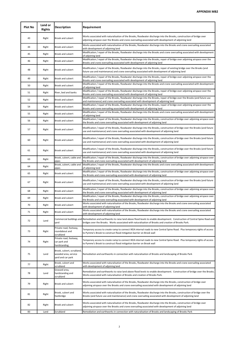| <b>Plot No</b> | Land or<br><b>Rights</b> | <b>Description</b>                                                      | Requirement                                                                                                                                                                                                                                                |
|----------------|--------------------------|-------------------------------------------------------------------------|------------------------------------------------------------------------------------------------------------------------------------------------------------------------------------------------------------------------------------------------------------|
| 43             | Right                    | Brook and culvert                                                       | Works associated with naturalisation of the Brooks, floodwater discharge into the Brooks, construction of bridge over<br>adjoining airspace over the Brooks and crane oversailing associated with development of adjoining land                            |
| 44             | Right                    | Brook and culvert                                                       | Works associated with naturalisation of the Brooks, floodwater discharge into the Brooks and crane oversailing associated<br>with development of adjoining land                                                                                            |
| 45             | Right                    | Brook and culvert                                                       | Modification / repair of the Brooks, floodwater discharge into the Brooks and crane oversailing associated with development<br>of adjoining land                                                                                                           |
| 46             | Right                    | Brook and culvert                                                       | Modification / repair of the Brooks, floodwater discharge into the Brooks, repair of bridge over adjoining airspace over the<br>Brooks and crane oversailing associated with development of adjoining land                                                 |
| 48             | Right                    | Brook and culvert                                                       | Modification / repair of the Brooks, floodwater discharge into the Brooks, repair of existing bridge over the Brooks (and<br>future use and maintenance) and crane oversailing associated with development of adjoining land                               |
| 49             | Right                    | Brook and culvert                                                       | Modification / repair of the Brooks, floodwater discharge into the Brooks, repair of bridge over adjoining airspace over the<br>Brooks and crane oversailing associated with development of adjoining land                                                 |
| 50             | Right                    | Brook and culvert                                                       | Modification / repair of the Brooks, floodwater discharge into the Brooks and crane oversailing associated with development<br>of adjoining land                                                                                                           |
| 51             | Right                    | River, bed and banks                                                    | Modification / repair of the Brooks, floodwater discharge into the Brooks, repair of bridge over adjoining airspace over the<br>Brooks and crane oversailing associated with development of adjoining land                                                 |
| 52             | Right                    | Brook and culvert                                                       | Modification / repair of the Brooks, floodwater discharge into the Brooks, repair of bridge over the Brooks (and future use<br>and maintenance) and crane oversailing associated with development of adjoining land                                        |
| 54             | Right                    | Brook and culvert                                                       | Modification / repair of the Brooks, floodwater discharge into the Brooks, repair of bridge over adjoining airspace over the<br>Brooks and crane oversailing associated with development of adjoining land                                                 |
| 55             | Right                    | Brook and culvert                                                       | Modification / repair of the Brooks, floodwater discharge into the Brooks and crane oversailing associated with development<br>of adjoining land                                                                                                           |
| 56             | Right                    | Brook and culvert                                                       | Modification / repair of the Brooks, floodwater discharge into the Brooks, construction of bridge over adjoining airspace over<br>the Brooks and crane oversailing associated with development of adjoining land                                           |
| 57             | Right                    | Brook and culvert                                                       | Modification / repair of the Brooks, floodwater discharge into the Brooks, construction of bridge over the Brooks (and future<br>use and maintenance) and crane oversailing associated with development of adjoining land                                  |
| 60             | Right                    | Brook and culvert                                                       | Modification / repair of the Brooks, floodwater discharge into the Brooks, construction of bridge over the Brooks (and future<br>use and maintenance) and crane oversailing associated with development of adjoining land                                  |
| 61             | Right                    | Brook and culvert                                                       | Modification / repair of the Brooks, floodwater discharge into the Brooks, construction of bridge over the Brooks (and future<br>use and maintenance) and crane oversailing associated with development of adjoining land                                  |
| 63             | Right                    | Brook, culvert, cable and<br>pipes                                      | Modification / repair of the Brooks, floodwater discharge into the Brooks, construction of bridge over adjoining airspace over<br>the Brooks and crane oversailing associated with development of adjoining land                                           |
| 64             | Right                    | Brook, culvert, cable and<br>pipes                                      | Modification / repair of the Brooks, floodwater discharge into the Brooks and crane oversailing associated with development<br>of adjoining land                                                                                                           |
| 65             | Right                    | Brook and culvert                                                       | Modification / repair of the Brooks, floodwater discharge into the Brooks, construction of bridge over adjoining airspace over<br>the Brooks and crane oversailing associated with development of adjoining land                                           |
| 67             | Right                    | Brook and culvert                                                       | Modification / repair of the Brooks, floodwater discharge into the Brooks, construction of bridge over the Brooks (and future<br>use and maintenance) and crane oversailing associated with development of adjoining land                                  |
| 68             | Right                    | Brook and culvert                                                       | Modification / repair of the Brooks, floodwater discharge into the Brooks, construction of bridge over adjoining airspace over<br>the Brooks and crane oversailing associated with development of adjoining land                                           |
| 69             | Right                    | Brook and culvert                                                       | Modification / repair of the Brooks, floodwater discharge into the Brooks, construction of bridge over adjoining airspace over<br>the Brooks and crane oversailing associated with development of adjoining land                                           |
| 70             | Right                    | Brook and culvert                                                       | Works associated with naturalisation of the Brooks, floodwater discharge into the Brooks and crane oversailing associated<br>with development of adjoining land                                                                                            |
| 71             | Right                    | Brook and culvert                                                       | Works associated with naturalisation of the Brooks, floodwater discharge into the Brooks and crane oversailing associated<br>with development of adjoining land                                                                                            |
| 72             | Land                     | yard                                                                    | Commercial buildings and Remediation and earthworks to raise land above flood levels to enable development. Construction of Central Spine Road and<br>bridges over the Brooks. Works associated with naturalisation of Brooks and creation of Brooks Park. |
| 73             | Right                    | Private road, footway,<br>roundabout and<br>scrubland                   | Temporary access to create ramp to connect IKEA internal roads to new Central Spine Road. Plus temporary rights of access<br>to Pymme's Brook to construct flood mitigation barrier on Brook wall                                                          |
| 74             | Right                    | Private road, footway,<br>car park and<br>hardstanding                  | Temporary access to create ramp to connect IKEA internal roads to new Central Spine Road. Plus temporary rights of access<br>to Pymme's Brook to construct flood mitigation barrier on Brook wall                                                          |
| 75             | Land                     | Brook, culvert, scrubland,<br>wooded area, service<br>yard and car park | Remediation and earthworks in connection with naturalisation of Brooks and landscaping of Brooks Park                                                                                                                                                      |
| 77             | Right                    | Brook, culvert and<br>scrubland                                         | Works associated with naturalisation of the Brooks, floodwater discharge into the Brooks and crane oversailing associated<br>with development of adjoining land                                                                                            |
| 78             | Land                     | Grassed area,<br>hardstanding and<br>scrubland                          | Remediation and earthworks to raise land above flood levels to enable development. Construction of bridge over the Brooks.<br>Works associated with naturalisation of Brooks and creation of Brooks Park.                                                  |
| 79             | Right                    | Brook and culvert                                                       | Works associated with naturalisation of the Brooks, floodwater discharge into the Brooks, construction of bridge over<br>adjoining airspace over the Brooks and crane oversailing associated with development of adjoining land                            |
| 81             | Right                    | Brook, culvert and<br>footbridge                                        | Works associated with naturalisation of the Brooks, floodwater discharge into the Brooks, construction of bridge over the<br>Brooks (and future use and maintenance) and crane oversailing associated with development of adjoining land                   |
| 82             | Right                    | Brook and culvert                                                       | Works associated with naturalisation of the Brooks, floodwater discharge into the Brooks, construction of bridge over<br>adjoining airspace over the Brooks and crane oversailing associated with development of adjoining land                            |
| 83             | Land                     | Scrubland                                                               | Remediation and earthworks in connection with naturalisation of Brooks and landscaping of Brooks Park                                                                                                                                                      |